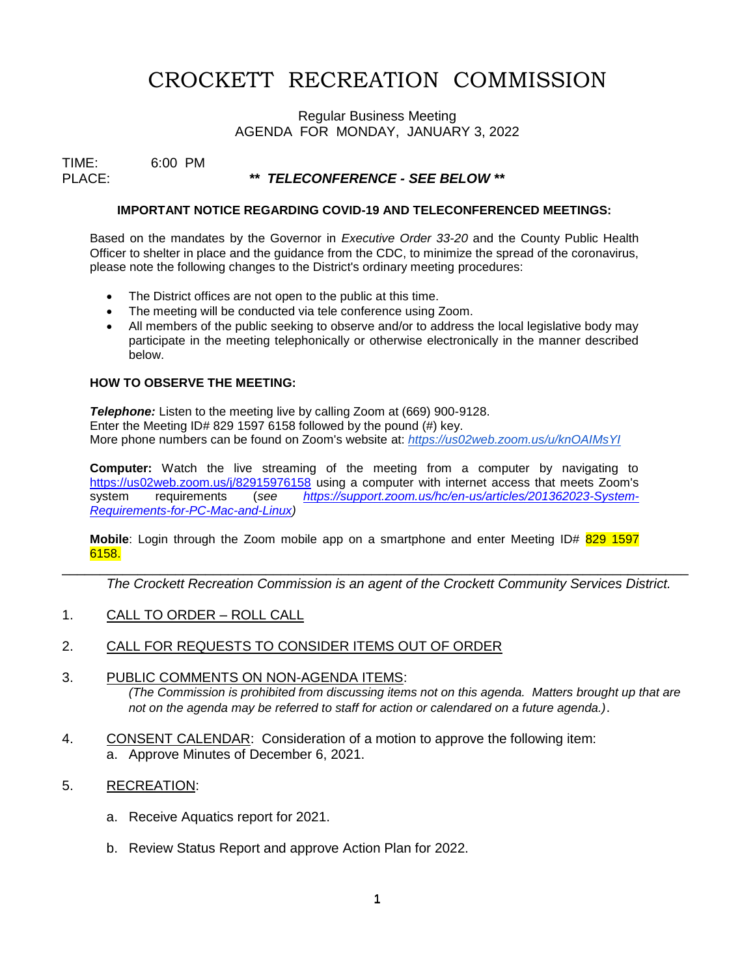# CROCKETT RECREATION COMMISSION

## Regular Business Meeting AGENDA FOR MONDAY, JANUARY 3, 2022

TIME: 6:00 PM<br>PLACE:

# PLACE: *\*\* TELECONFERENCE - SEE BELOW \*\**

#### **IMPORTANT NOTICE REGARDING COVID-19 AND TELECONFERENCED MEETINGS:**

Based on the mandates by the Governor in *Executive Order 33-20* and the County Public Health Officer to shelter in place and the guidance from the CDC, to minimize the spread of the coronavirus, please note the following changes to the District's ordinary meeting procedures:

- The District offices are not open to the public at this time.
- The meeting will be conducted via tele conference using Zoom.
- All members of the public seeking to observe and/or to address the local legislative body may participate in the meeting telephonically or otherwise electronically in the manner described below.

### **HOW TO OBSERVE THE MEETING:**

**Telephone:** Listen to the meeting live by calling Zoom at (669) 900-9128. Enter the Meeting ID# 829 1597 6158 followed by the pound (#) key. More phone numbers can be found on Zoom's website at: *<https://us02web.zoom.us/u/knOAIMsYI>*

**Computer:** Watch the live streaming of the meeting from a computer by navigating to <https://us02web.zoom.us/j/82915976158> using a computer with internet access that meets Zoom's system requirements (*see [https://support.zoom.us/hc/en-us/articles/201362023-System-](https://support.zoom.us/hc/en-us/articles/201362023-System-Requirements-for-PC-Mac-and-Linux)[Requirements-for-PC-Mac-and-Linux\)](https://support.zoom.us/hc/en-us/articles/201362023-System-Requirements-for-PC-Mac-and-Linux)*

**Mobile**: Login through the Zoom mobile app on a smartphone and enter Meeting ID# 829 1597 6158.

\_\_\_\_\_\_\_\_\_\_\_\_\_\_\_\_\_\_\_\_\_\_\_\_\_\_\_\_\_\_\_\_\_\_\_\_\_\_\_\_\_\_\_\_\_\_\_\_\_\_\_\_\_\_\_\_\_\_\_\_\_\_\_\_\_\_\_\_\_\_\_\_\_\_\_\_\_\_\_\_\_\_\_

*The Crockett Recreation Commission is an agent of the Crockett Community Services District.* 

1. CALL TO ORDER – ROLL CALL

## 2. CALL FOR REQUESTS TO CONSIDER ITEMS OUT OF ORDER

### 3. PUBLIC COMMENTS ON NON-AGENDA ITEMS: *(The Commission is prohibited from discussing items not on this agenda. Matters brought up that are not on the agenda may be referred to staff for action or calendared on a future agenda.)*.

4. CONSENT CALENDAR: Consideration of a motion to approve the following item: a. Approve Minutes of December 6, 2021.

## 5. RECREATION:

- a. Receive Aquatics report for 2021.
- b. Review Status Report and approve Action Plan for 2022.